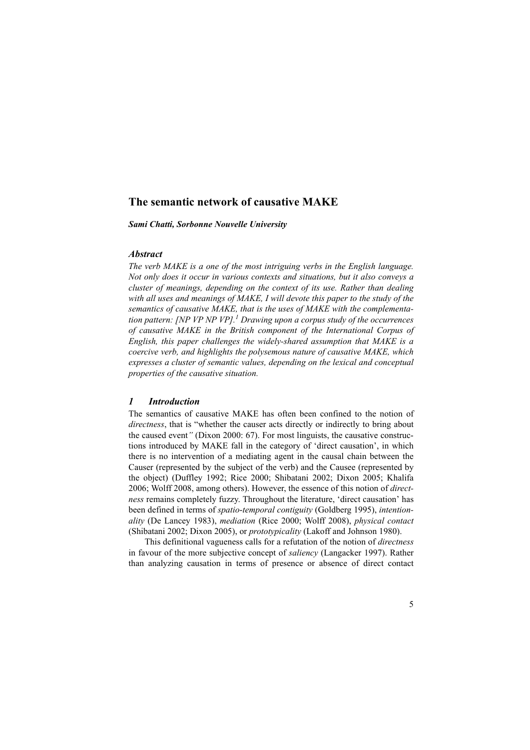# **The semantic network of causative MAKE**

*Sami Chatti, Sorbonne Nouvelle University*

### *Abstract*

*The verb MAKE is a one of the most intriguing verbs in the English language. Not only does it occur in various contexts and situations, but it also conveys a cluster of meanings, depending on the context of its use. Rather than dealing with all uses and meanings of MAKE, I will devote this paper to the study of the semantics of causative MAKE, that is the uses of MAKE with the complementation pattern: [NP VP NP VP].<sup>1</sup> Drawing upon a corpus study of the occurrences of causative MAKE in the British component of the International Corpus of English, this paper challenges the widely-shared assumption that MAKE is a coercive verb, and highlights the polysemous nature of causative MAKE, which expresses a cluster of semantic values, depending on the lexical and conceptual properties of the causative situation.* 

### *1 Introduction*

The semantics of causative MAKE has often been confined to the notion of *directness*, that is "whether the causer acts directly or indirectly to bring about the caused event*"* (Dixon 2000: 67). For most linguists, the causative constructions introduced by MAKE fall in the category of 'direct causation', in which there is no intervention of a mediating agent in the causal chain between the Causer (represented by the subject of the verb) and the Causee (represented by the object) (Duffley 1992; Rice 2000; Shibatani 2002; Dixon 2005; Khalifa 2006; Wolff 2008, among others). However, the essence of this notion of *directness* remains completely fuzzy. Throughout the literature, 'direct causation' has been defined in terms of *spatio*-*temporal contiguity* (Goldberg 1995), *intentionality* (De Lancey 1983), *mediation* (Rice 2000; Wolff 2008), *physical contact* (Shibatani 2002; Dixon 2005), or *prototypicality* (Lakoff and Johnson 1980).

This definitional vagueness calls for a refutation of the notion of *directness* in favour of the more subjective concept of *saliency* (Langacker 1997). Rather than analyzing causation in terms of presence or absence of direct contact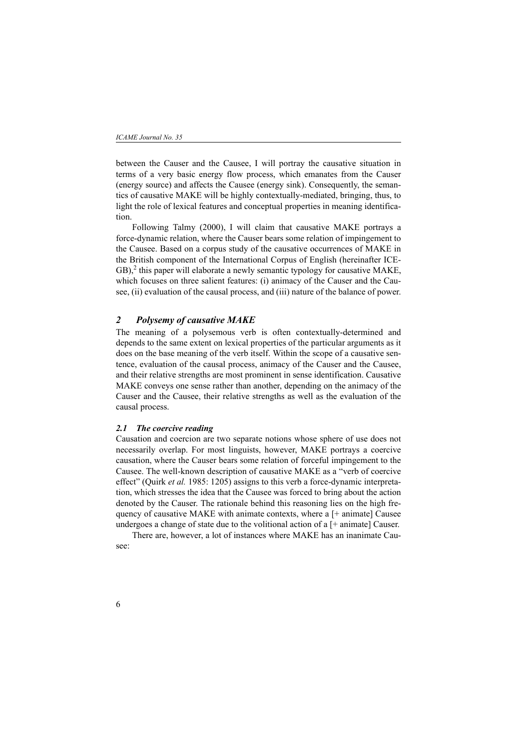between the Causer and the Causee, I will portray the causative situation in terms of a very basic energy flow process, which emanates from the Causer (energy source) and affects the Causee (energy sink). Consequently, the semantics of causative MAKE will be highly contextually-mediated, bringing, thus, to light the role of lexical features and conceptual properties in meaning identification.

Following Talmy (2000), I will claim that causative MAKE portrays a force-dynamic relation, where the Causer bears some relation of impingement to the Causee. Based on a corpus study of the causative occurrences of MAKE in the British component of the International Corpus of English (hereinafter ICE- $GB$ ),<sup>2</sup> this paper will elaborate a newly semantic typology for causative MAKE, which focuses on three salient features: (i) animacy of the Causer and the Causee, (ii) evaluation of the causal process, and (iii) nature of the balance of power.

## *2 Polysemy of causative MAKE*

The meaning of a polysemous verb is often contextually-determined and depends to the same extent on lexical properties of the particular arguments as it does on the base meaning of the verb itself. Within the scope of a causative sentence, evaluation of the causal process, animacy of the Causer and the Causee, and their relative strengths are most prominent in sense identification. Causative MAKE conveys one sense rather than another, depending on the animacy of the Causer and the Causee, their relative strengths as well as the evaluation of the causal process.

### *2.1 The coercive reading*

Causation and coercion are two separate notions whose sphere of use does not necessarily overlap. For most linguists, however, MAKE portrays a coercive causation, where the Causer bears some relation of forceful impingement to the Causee. The well-known description of causative MAKE as a "verb of coercive effect" (Quirk *et al.* 1985: 1205) assigns to this verb a force-dynamic interpretation, which stresses the idea that the Causee was forced to bring about the action denoted by the Causer. The rationale behind this reasoning lies on the high frequency of causative MAKE with animate contexts, where a [+ animate] Causee undergoes a change of state due to the volitional action of a [+ animate] Causer.

There are, however, a lot of instances where MAKE has an inanimate Causee: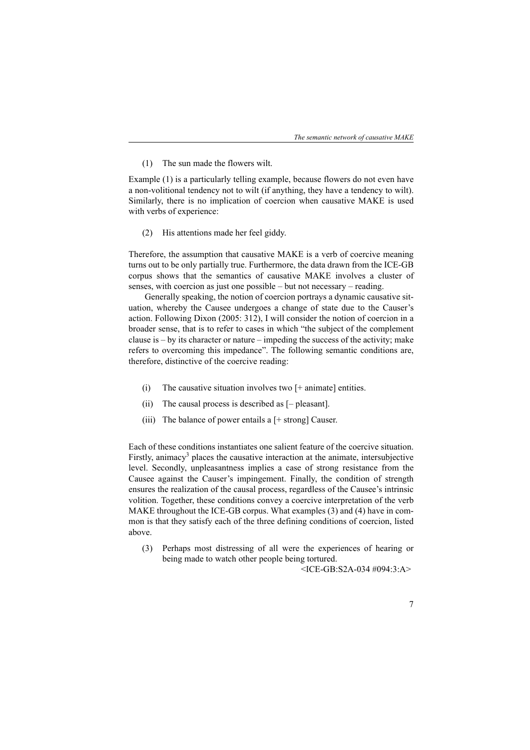(1) The sun made the flowers wilt.

Example (1) is a particularly telling example, because flowers do not even have a non-volitional tendency not to wilt (if anything, they have a tendency to wilt). Similarly, there is no implication of coercion when causative MAKE is used with verbs of experience:

(2) His attentions made her feel giddy.

Therefore, the assumption that causative MAKE is a verb of coercive meaning turns out to be only partially true. Furthermore, the data drawn from the ICE-GB corpus shows that the semantics of causative MAKE involves a cluster of senses, with coercion as just one possible – but not necessary – reading.

Generally speaking, the notion of coercion portrays a dynamic causative situation, whereby the Causee undergoes a change of state due to the Causer's action. Following Dixon (2005: 312), I will consider the notion of coercion in a broader sense, that is to refer to cases in which "the subject of the complement clause is – by its character or nature – impeding the success of the activity; make refers to overcoming this impedance". The following semantic conditions are, therefore, distinctive of the coercive reading:

- (i) The causative situation involves two  $[+$  animate] entities.
- (ii) The causal process is described as [pleasant].
- (iii) The balance of power entails a  $[+$  strong] Causer.

Each of these conditions instantiates one salient feature of the coercive situation. Firstly, animacy<sup>3</sup> places the causative interaction at the animate, intersubjective level. Secondly, unpleasantness implies a case of strong resistance from the Causee against the Causer's impingement. Finally, the condition of strength ensures the realization of the causal process, regardless of the Causee's intrinsic volition. Together, these conditions convey a coercive interpretation of the verb MAKE throughout the ICE-GB corpus. What examples (3) and (4) have in common is that they satisfy each of the three defining conditions of coercion, listed above.

(3) Perhaps most distressing of all were the experiences of hearing or being made to watch other people being tortured.

<ICE-GB:S2A-034 #094:3:A>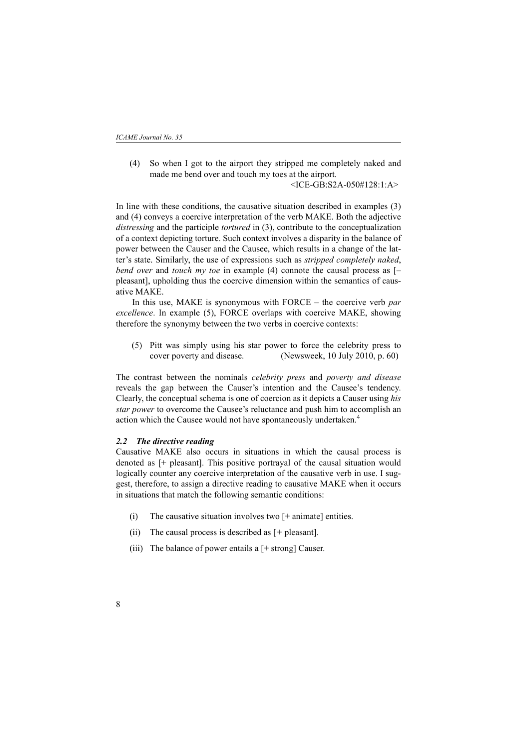(4) So when I got to the airport they stripped me completely naked and made me bend over and touch my toes at the airport.

<ICE-GB:S2A-050#128:1:A>

In line with these conditions, the causative situation described in examples (3) and (4) conveys a coercive interpretation of the verb MAKE. Both the adjective *distressing* and the participle *tortured* in (3), contribute to the conceptualization of a context depicting torture. Such context involves a disparity in the balance of power between the Causer and the Causee, which results in a change of the latter's state. Similarly, the use of expressions such as *stripped completely naked*, *bend over* and *touch my toe* in example (4) connote the causal process as [– pleasant], upholding thus the coercive dimension within the semantics of causative MAKE.

In this use, MAKE is synonymous with FORCE – the coercive verb *par excellence*. In example (5), FORCE overlaps with coercive MAKE, showing therefore the synonymy between the two verbs in coercive contexts:

 (5) Pitt was simply using his star power to force the celebrity press to cover poverty and disease. (Newsweek, 10 July 2010, p. 60)

The contrast between the nominals *celebrity press* and *poverty and disease* reveals the gap between the Causer's intention and the Causee's tendency. Clearly, the conceptual schema is one of coercion as it depicts a Causer using *his star power* to overcome the Causee's reluctance and push him to accomplish an action which the Causee would not have spontaneously undertaken.<sup>4</sup>

#### *2.2 The directive reading*

Causative MAKE also occurs in situations in which the causal process is denoted as [+ pleasant]. This positive portrayal of the causal situation would logically counter any coercive interpretation of the causative verb in use. I suggest, therefore, to assign a directive reading to causative MAKE when it occurs in situations that match the following semantic conditions:

- (i) The causative situation involves two [+ animate] entities.
- (ii) The causal process is described as [*+* pleasant].
- (iii) The balance of power entails a  $[+$  strong] Causer.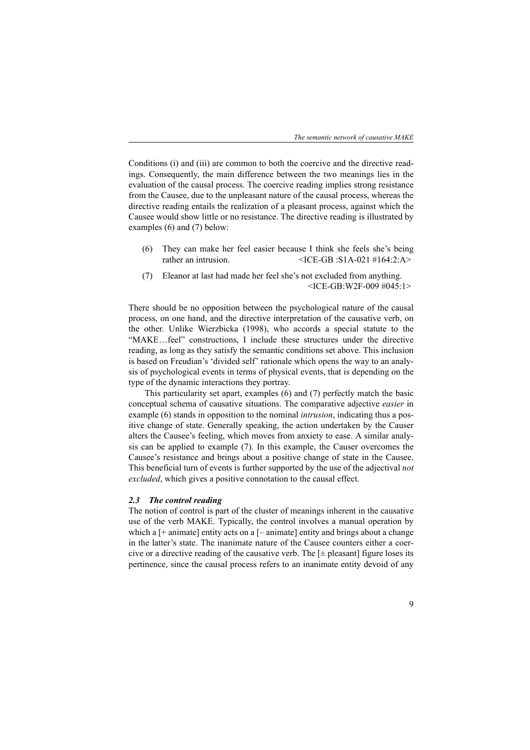Conditions (i) and (iii) are common to both the coercive and the directive readings. Consequently, the main difference between the two meanings lies in the evaluation of the causal process. The coercive reading implies strong resistance from the Causee, due to the unpleasant nature of the causal process, whereas the directive reading entails the realization of a pleasant process, against which the Causee would show little or no resistance. The directive reading is illustrated by examples (6) and (7) below:

- (6) They can make her feel easier because I think she feels she's being rather an intrusion.  $\langle$ ICE-GB :S1A-021 #164:2:A>
- (7) Eleanor at last had made her feel she's not excluded from anything. <ICE-GB:W2F-009 #045:1>

There should be no opposition between the psychological nature of the causal process, on one hand, and the directive interpretation of the causative verb, on the other. Unlike Wierzbicka (1998), who accords a special statute to the "MAKE…feel" constructions, I include these structures under the directive reading, as long as they satisfy the semantic conditions set above. This inclusion is based on Freudian's 'divided self' rationale which opens the way to an analysis of psychological events in terms of physical events, that is depending on the type of the dynamic interactions they portray.

This particularity set apart, examples (6) and (7) perfectly match the basic conceptual schema of causative situations. The comparative adjective *easier* in example (6) stands in opposition to the nominal *intrusion*, indicating thus a positive change of state. Generally speaking, the action undertaken by the Causer alters the Causee's feeling, which moves from anxiety to ease. A similar analysis can be applied to example (7). In this example, the Causer overcomes the Causee's resistance and brings about a positive change of state in the Causee. This beneficial turn of events is further supported by the use of the adjectival *not excluded*, which gives a positive connotation to the causal effect.

### *2.3 The control reading*

The notion of control is part of the cluster of meanings inherent in the causative use of the verb MAKE. Typically, the control involves a manual operation by which a  $[+$  animate] entity acts on a  $[-$  animate] entity and brings about a change in the latter's state. The inanimate nature of the Causee counters either a coercive or a directive reading of the causative verb. The  $[\pm$  pleasant] figure loses its pertinence, since the causal process refers to an inanimate entity devoid of any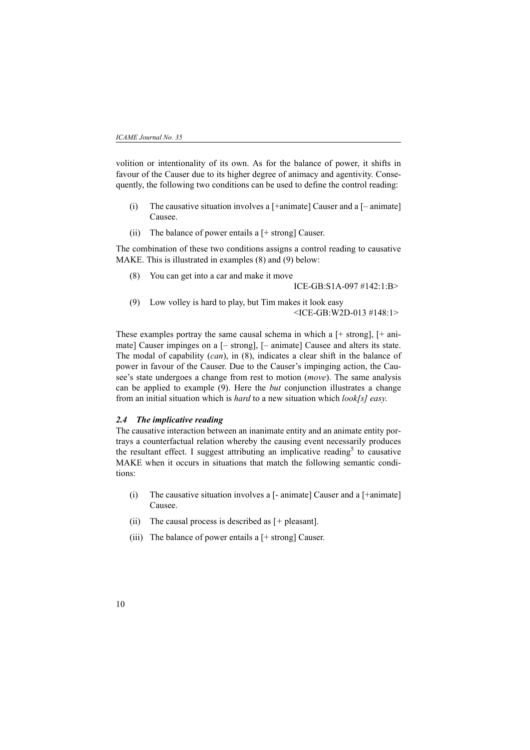volition or intentionality of its own. As for the balance of power, it shifts in favour of the Causer due to its higher degree of animacy and agentivity. Consequently, the following two conditions can be used to define the control reading:

- (i) The causative situation involves a  $[+animate]$  Causer and a  $[-animate]$ Causee.
- (ii) The balance of power entails a  $[+$  strong] Causer.

The combination of these two conditions assigns a control reading to causative MAKE. This is illustrated in examples (8) and (9) below:

(8) You can get into a car and make it move

ICE-GB:S1A-097 #142:1:B>

(9) Low volley is hard to play, but Tim makes it look easy <ICE-GB:W2D-013 #148:1>

These examples portray the same causal schema in which a  $[+$  strong],  $[+$  animate] Causer impinges on a [– strong], [– animate] Causee and alters its state. The modal of capability (*can*), in (8), indicates a clear shift in the balance of power in favour of the Causer. Due to the Causer's impinging action, the Causee's state undergoes a change from rest to motion (*move*). The same analysis can be applied to example (9). Here the *but* conjunction illustrates a change from an initial situation which is *hard* to a new situation which *look[s] easy*.

### *2.4 The implicative reading*

The causative interaction between an inanimate entity and an animate entity portrays a counterfactual relation whereby the causing event necessarily produces the resultant effect. I suggest attributing an implicative reading<sup>5</sup> to causative MAKE when it occurs in situations that match the following semantic conditions:

- (i) The causative situation involves a [- animate] Causer and a [+animate] Causee.
- (ii) The causal process is described as [*+* pleasant].
- (iii) The balance of power entails a  $[+$  strong] Causer.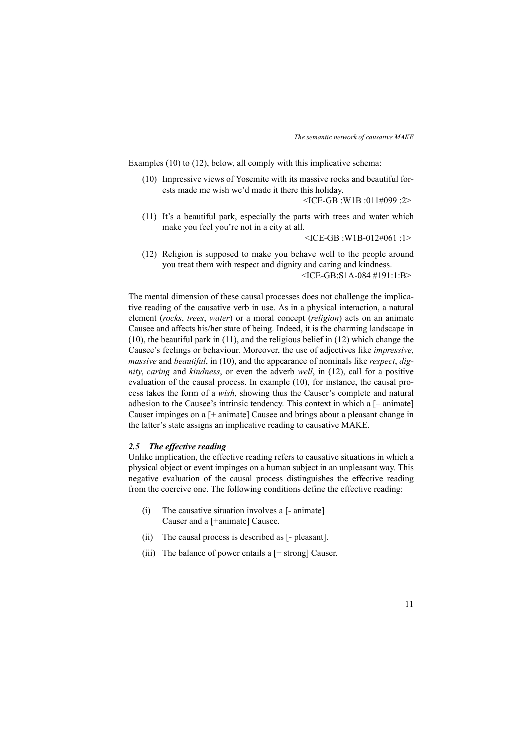Examples (10) to (12), below, all comply with this implicative schema:

(10) Impressive views of Yosemite with its massive rocks and beautiful forests made me wish we'd made it there this holiday.

<ICE-GB :W1B :011#099 :2>

(11) It's a beautiful park, especially the parts with trees and water which make you feel you're not in a city at all.

<ICE-GB :W1B-012#061 :1>

(12) Religion is supposed to make you behave well to the people around you treat them with respect and dignity and caring and kindness. <ICE-GB:S1A-084 #191:1:B>

The mental dimension of these causal processes does not challenge the implicative reading of the causative verb in use. As in a physical interaction, a natural element (*rocks*, *trees*, *water*) or a moral concept (*religion*) acts on an animate Causee and affects his/her state of being. Indeed, it is the charming landscape in (10), the beautiful park in (11), and the religious belief in (12) which change the Causee's feelings or behaviour. Moreover, the use of adjectives like *impressive*, *massive* and *beautiful*, in (10), and the appearance of nominals like *respect*, *dignity*, *caring* and *kindness*, or even the adverb *well*, in (12), call for a positive evaluation of the causal process. In example (10), for instance, the causal process takes the form of a *wish*, showing thus the Causer's complete and natural adhesion to the Causee's intrinsic tendency. This context in which a [– animate] Causer impinges on a [+ animate] Causee and brings about a pleasant change in the latter's state assigns an implicative reading to causative MAKE.

### *2.5 The effective reading*

Unlike implication, the effective reading refers to causative situations in which a physical object or event impinges on a human subject in an unpleasant way. This negative evaluation of the causal process distinguishes the effective reading from the coercive one. The following conditions define the effective reading:

- (i) The causative situation involves a [- animate] Causer and a [+animate] Causee.
- (ii) The causal process is described as [- pleasant].
- (iii) The balance of power entails a [+ strong] Causer.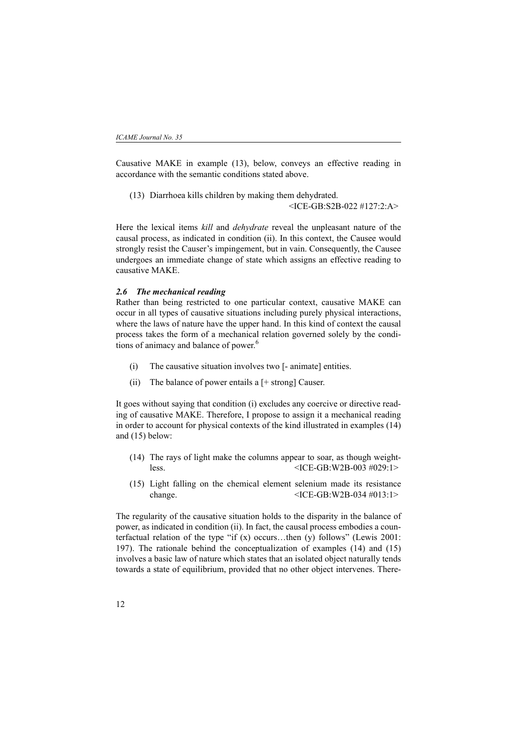Causative MAKE in example (13), below, conveys an effective reading in accordance with the semantic conditions stated above.

(13) Diarrhoea kills children by making them dehydrated.

<ICE-GB:S2B-022 #127:2:A>

Here the lexical items *kill* and *dehydrate* reveal the unpleasant nature of the causal process, as indicated in condition (ii). In this context, the Causee would strongly resist the Causer's impingement, but in vain. Consequently, the Causee undergoes an immediate change of state which assigns an effective reading to causative MAKE.

### *2.6 The mechanical reading*

Rather than being restricted to one particular context, causative MAKE can occur in all types of causative situations including purely physical interactions, where the laws of nature have the upper hand. In this kind of context the causal process takes the form of a mechanical relation governed solely by the conditions of animacy and balance of power.<sup>6</sup>

- (i) The causative situation involves two [- animate] entities.
- (ii) The balance of power entails a  $[+$  strong] Causer.

It goes without saying that condition (i) excludes any coercive or directive reading of causative MAKE. Therefore, I propose to assign it a mechanical reading in order to account for physical contexts of the kind illustrated in examples (14) and (15) below:

- (14) The rays of light make the columns appear to soar, as though weightless. <ICE-GB:W2B-003 #029:1>
- (15) Light falling on the chemical element selenium made its resistance change. <ICE-GB:W2B-034 #013:1>

The regularity of the causative situation holds to the disparity in the balance of power, as indicated in condition (ii). In fact, the causal process embodies a counterfactual relation of the type "if  $(x)$  occurs...then  $(y)$  follows" (Lewis 2001: 197). The rationale behind the conceptualization of examples (14) and (15) involves a basic law of nature which states that an isolated object naturally tends towards a state of equilibrium, provided that no other object intervenes. There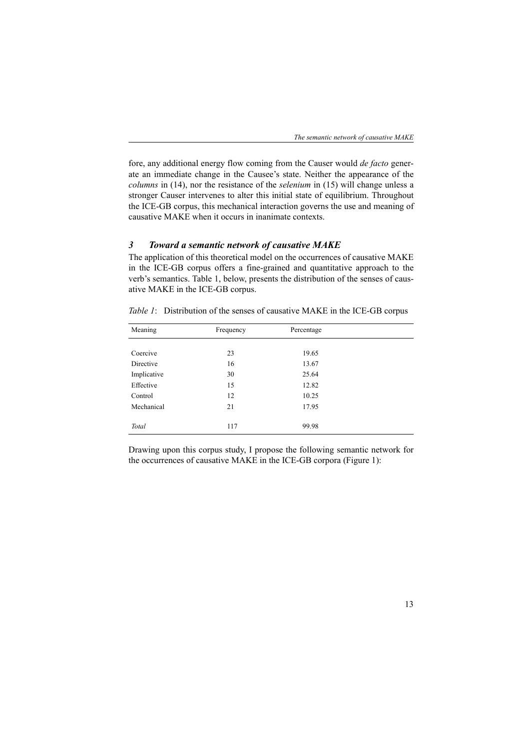fore, any additional energy flow coming from the Causer would *de facto* generate an immediate change in the Causee's state. Neither the appearance of the *columns* in (14), nor the resistance of the *selenium* in (15) will change unless a stronger Causer intervenes to alter this initial state of equilibrium. Throughout the ICE-GB corpus, this mechanical interaction governs the use and meaning of causative MAKE when it occurs in inanimate contexts.

### *3 Toward a semantic network of causative MAKE*

The application of this theoretical model on the occurrences of causative MAKE in the ICE-GB corpus offers a fine-grained and quantitative approach to the verb's semantics. Table 1, below, presents the distribution of the senses of causative MAKE in the ICE-GB corpus.

*Table 1*: Distribution of the senses of causative MAKE in the ICE-GB corpus

| Meaning     | Frequency | Percentage |  |
|-------------|-----------|------------|--|
|             |           |            |  |
| Coercive    | 23        | 19.65      |  |
| Directive   | 16        | 13.67      |  |
| Implicative | 30        | 25.64      |  |
| Effective   | 15        | 12.82      |  |
| Control     | 12        | 10.25      |  |
| Mechanical  | 21        | 17.95      |  |
|             |           |            |  |
| Total       | 117       | 99.98      |  |

Drawing upon this corpus study, I propose the following semantic network for the occurrences of causative MAKE in the ICE-GB corpora (Figure 1):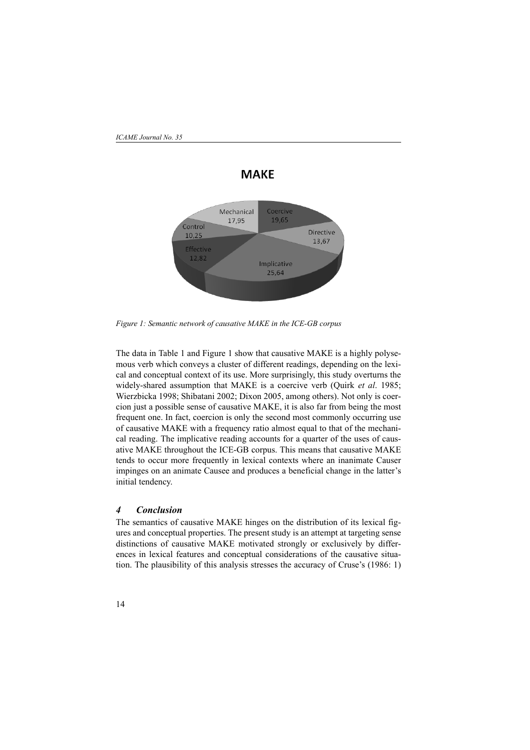

*Figure 1: Semantic network of causative MAKE in the ICE-GB corpus* 

The data in Table 1 and Figure 1 show that causative MAKE is a highly polysemous verb which conveys a cluster of different readings, depending on the lexical and conceptual context of its use. More surprisingly, this study overturns the widely-shared assumption that MAKE is a coercive verb (Quirk *et al*. 1985; Wierzbicka 1998; Shibatani 2002; Dixon 2005, among others). Not only is coercion just a possible sense of causative MAKE, it is also far from being the most frequent one. In fact, coercion is only the second most commonly occurring use of causative MAKE with a frequency ratio almost equal to that of the mechanical reading. The implicative reading accounts for a quarter of the uses of causative MAKE throughout the ICE-GB corpus. This means that causative MAKE tends to occur more frequently in lexical contexts where an inanimate Causer impinges on an animate Causee and produces a beneficial change in the latter's initial tendency.

# *4 Conclusion*

The semantics of causative MAKE hinges on the distribution of its lexical figures and conceptual properties. The present study is an attempt at targeting sense distinctions of causative MAKE motivated strongly or exclusively by differences in lexical features and conceptual considerations of the causative situation. The plausibility of this analysis stresses the accuracy of Cruse's (1986: 1)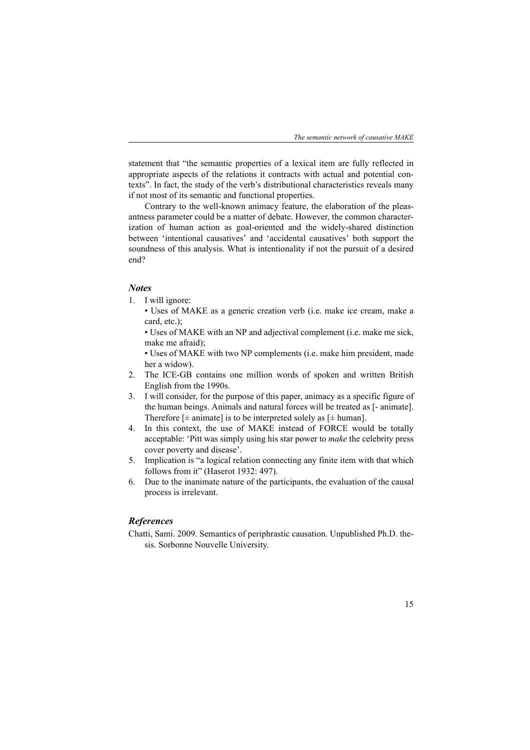statement that "the semantic properties of a lexical item are fully reflected in appropriate aspects of the relations it contracts with actual and potential contexts". In fact, the study of the verb's distributional characteristics reveals many if not most of its semantic and functional properties.

Contrary to the well-known animacy feature, the elaboration of the pleasantness parameter could be a matter of debate. However, the common characterization of human action as goal-oriented and the widely-shared distinction between 'intentional causatives' and 'accidental causatives' both support the soundness of this analysis. What is intentionality if not the pursuit of a desired end?

### *Notes*

- 1. I will ignore:
	- Uses of MAKE as a generic creation verb (i.e. make ice cream, make a card, etc.);

• Uses of MAKE with an NP and adjectival complement (i.e. make me sick, make me afraid);

• Uses of MAKE with two NP complements (i.e. make him president, made her a widow).

- 2. The ICE-GB contains one million words of spoken and written British English from the 1990s.
- 3. I will consider, for the purpose of this paper, animacy as a specific figure of the human beings. Animals and natural forces will be treated as [- animate]. Therefore  $[\pm$  animate] is to be interpreted solely as  $[\pm$  human].
- 4. In this context, the use of MAKE instead of FORCE would be totally acceptable: 'Pitt was simply using his star power to *make* the celebrity press cover poverty and disease'.
- 5. Implication is "a logical relation connecting any finite item with that which follows from it" (Haserot 1932: 497).
- 6. Due to the inanimate nature of the participants, the evaluation of the causal process is irrelevant.

### *References*

Chatti, Sami. 2009. Semantics of periphrastic causation. Unpublished Ph.D. thesis. Sorbonne Nouvelle University.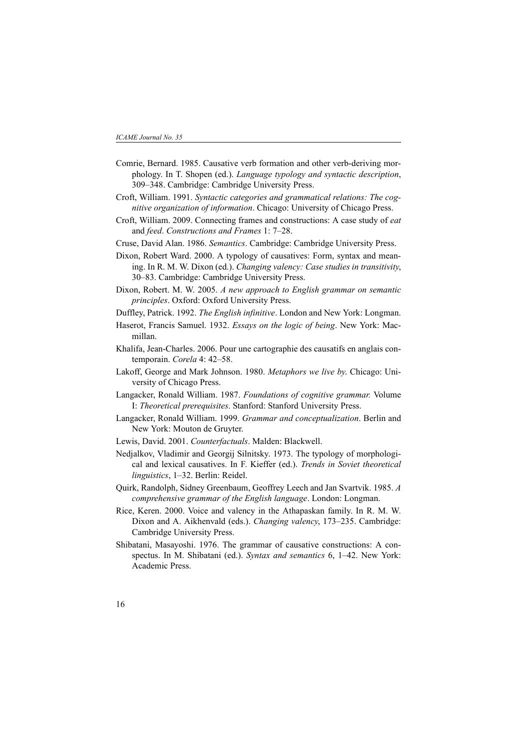- Comrie, Bernard. 1985. Causative verb formation and other verb-deriving morphology. In T. Shopen (ed.). *Language typology and syntactic description*, 309–348. Cambridge: Cambridge University Press.
- Croft, William. 1991. *Syntactic categories and grammatical relations: The cognitive organization of information*. Chicago: University of Chicago Press.
- Croft, William. 2009. Connecting frames and constructions: A case study of *eat* and *feed*. *Constructions and Frames* 1: 7–28.
- Cruse, David Alan. 1986. *Semantics*. Cambridge: Cambridge University Press.
- Dixon, Robert Ward. 2000. A typology of causatives: Form, syntax and meaning. In R. M. W. Dixon (ed.). *Changing valency: Case studies in transitivity*, 30–83. Cambridge: Cambridge University Press.
- Dixon, Robert. M. W. 2005. *A new approach to English grammar on semantic principles*. Oxford: Oxford University Press.
- Duffley, Patrick. 1992. *The English infinitive*. London and New York: Longman.
- Haserot, Francis Samuel. 1932. *Essays on the logic of being*. New York: Macmillan.
- Khalifa, Jean-Charles. 2006. Pour une cartographie des causatifs en anglais contemporain. *Corela* 4: 42–58.
- Lakoff, George and Mark Johnson. 1980. *Metaphors we live by*. Chicago: University of Chicago Press.
- Langacker, Ronald William. 1987. *Foundations of cognitive grammar.* Volume I: *Theoretical prerequisites*. Stanford: Stanford University Press.
- Langacker, Ronald William. 1999. *Grammar and conceptualization*. Berlin and New York: Mouton de Gruyter.
- Lewis, David. 2001. *Counterfactuals*. Malden: Blackwell.
- Nedjalkov, Vladimir and Georgij Silnitsky. 1973. The typology of morphological and lexical causatives. In F. Kieffer (ed.). *Trends in Soviet theoretical linguistics*, 1–32. Berlin: Reidel.
- Quirk, Randolph, Sidney Greenbaum, Geoffrey Leech and Jan Svartvik. 1985. *A comprehensive grammar of the English language*. London: Longman.
- Rice, Keren. 2000. Voice and valency in the Athapaskan family. In R. M. W. Dixon and A. Aikhenvald (eds.). *Changing valency*, 173–235. Cambridge: Cambridge University Press.
- Shibatani, Masayoshi. 1976. The grammar of causative constructions: A conspectus. In M. Shibatani (ed.). *Syntax and semantics* 6, 1–42. New York: Academic Press.